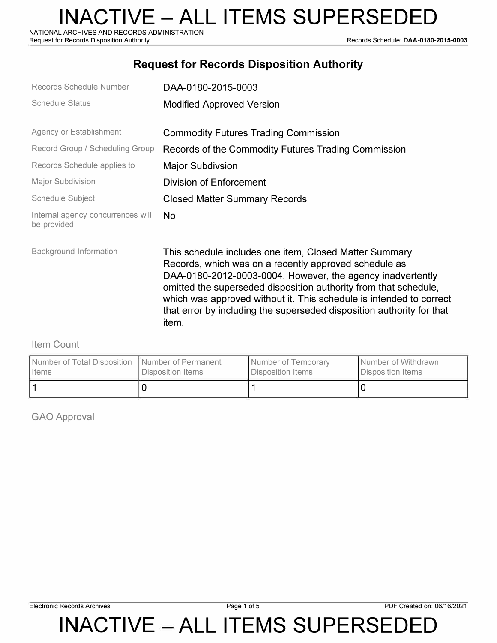NATIONAL ARCHIVES AND RECORDS ADMINISTRATION<br>Request for Records Disposition Authority

Records Schedule: DAA-0180-2015-0003

## **Request for Records Disposition Authority**

| Records Schedule Number                          | DAA-0180-2015-0003                                                                                                                                                                                                                                                                                                                                                                                         |
|--------------------------------------------------|------------------------------------------------------------------------------------------------------------------------------------------------------------------------------------------------------------------------------------------------------------------------------------------------------------------------------------------------------------------------------------------------------------|
| <b>Schedule Status</b>                           | <b>Modified Approved Version</b>                                                                                                                                                                                                                                                                                                                                                                           |
| Agency or Establishment                          | <b>Commodity Futures Trading Commission</b>                                                                                                                                                                                                                                                                                                                                                                |
| Record Group / Scheduling Group                  | Records of the Commodity Futures Trading Commission                                                                                                                                                                                                                                                                                                                                                        |
| Records Schedule applies to                      | <b>Major Subdivsion</b>                                                                                                                                                                                                                                                                                                                                                                                    |
| Major Subdivision                                | Division of Enforcement                                                                                                                                                                                                                                                                                                                                                                                    |
| Schedule Subject                                 | <b>Closed Matter Summary Records</b>                                                                                                                                                                                                                                                                                                                                                                       |
| Internal agency concurrences will<br>be provided | <b>No</b>                                                                                                                                                                                                                                                                                                                                                                                                  |
| Background Information                           | This schedule includes one item, Closed Matter Summary<br>Records, which was on a recently approved schedule as<br>DAA-0180-2012-0003-0004. However, the agency inadvertently<br>omitted the superseded disposition authority from that schedule,<br>which was approved without it. This schedule is intended to correct<br>that error by including the superseded disposition authority for that<br>item. |

#### Item Count

| Number of Total Disposition   Number of Permanent | Disposition Items | Number of Temporary | I Number of Withdrawn |
|---------------------------------------------------|-------------------|---------------------|-----------------------|
| <b>I</b> Items                                    |                   | Disposition Items   | Disposition Items     |
|                                                   |                   |                     |                       |

GAO Approval

**INACTIVE - ALL ITEMS SUPERSEDED**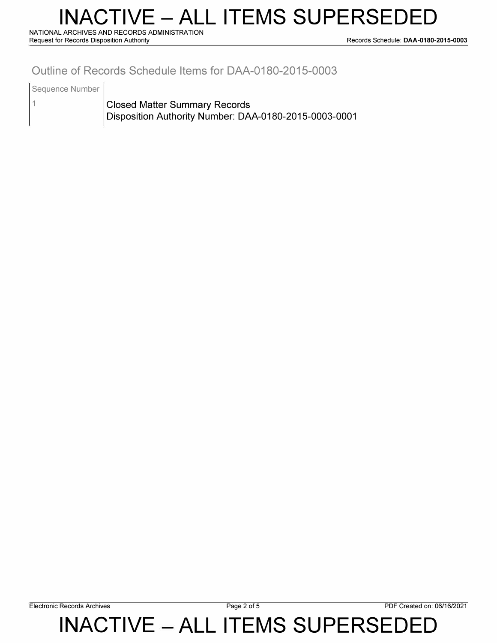# **INACTIVE - ALL ITEMS SUPERSEDED**

**NATIONAL ARCHIVES AND RECORDS ADMINISTRATION** 

**Request for Records Disposition Authority Records Schedule: DAA-0180-2015-0003** 

## **Outline of Records Schedule Items for DAA-0180-2015-0003**

Sequence Number

1

Closed Matter Summary Records Disposition Authority Number: DAA-0180-2015-0003-0001

**Electronic Records Archives Page 2 of 5 PDF Created on: 06/16/2021** 

**INACTIVE - ALL ITEMS SUPERSEDED**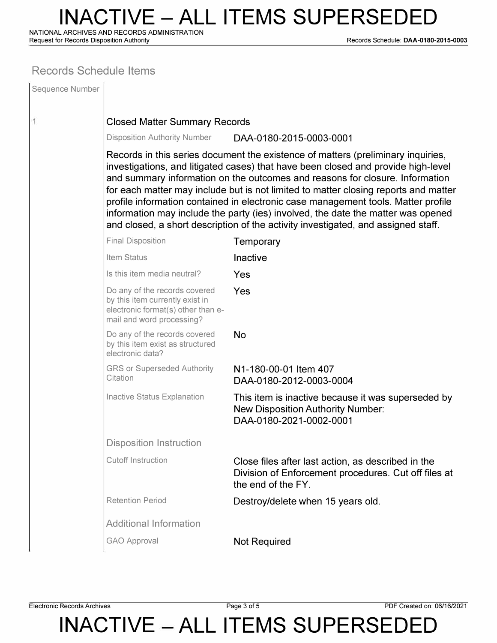**NATIONAL ARCHIVES AND RECORDS ADMINISTRATION** 

**Request for Records Disposition Authority Records Schedule: DAA-0180-2015-0003** 

#### **Records Schedule Items**

| Sequence Number |                                                                                                                                                                                                                                                                                                                                                                                                                                                                                                                                                                                                            |                                                                                                                                  |  |  |  |
|-----------------|------------------------------------------------------------------------------------------------------------------------------------------------------------------------------------------------------------------------------------------------------------------------------------------------------------------------------------------------------------------------------------------------------------------------------------------------------------------------------------------------------------------------------------------------------------------------------------------------------------|----------------------------------------------------------------------------------------------------------------------------------|--|--|--|
| 1               | <b>Closed Matter Summary Records</b>                                                                                                                                                                                                                                                                                                                                                                                                                                                                                                                                                                       |                                                                                                                                  |  |  |  |
|                 | <b>Disposition Authority Number</b>                                                                                                                                                                                                                                                                                                                                                                                                                                                                                                                                                                        | DAA-0180-2015-0003-0001                                                                                                          |  |  |  |
|                 | Records in this series document the existence of matters (preliminary inquiries,<br>investigations, and litigated cases) that have been closed and provide high-level<br>and summary information on the outcomes and reasons for closure. Information<br>for each matter may include but is not limited to matter closing reports and matter<br>profile information contained in electronic case management tools. Matter profile<br>information may include the party (ies) involved, the date the matter was opened<br>and closed, a short description of the activity investigated, and assigned staff. |                                                                                                                                  |  |  |  |
|                 | <b>Final Disposition</b>                                                                                                                                                                                                                                                                                                                                                                                                                                                                                                                                                                                   | Temporary                                                                                                                        |  |  |  |
|                 | Item Status                                                                                                                                                                                                                                                                                                                                                                                                                                                                                                                                                                                                | Inactive                                                                                                                         |  |  |  |
|                 | Is this item media neutral?                                                                                                                                                                                                                                                                                                                                                                                                                                                                                                                                                                                | Yes                                                                                                                              |  |  |  |
|                 | Do any of the records covered<br>by this item currently exist in<br>electronic format(s) other than e-<br>mail and word processing?                                                                                                                                                                                                                                                                                                                                                                                                                                                                        | Yes                                                                                                                              |  |  |  |
|                 | Do any of the records covered<br>by this item exist as structured<br>electronic data?                                                                                                                                                                                                                                                                                                                                                                                                                                                                                                                      | <b>No</b>                                                                                                                        |  |  |  |
|                 | <b>GRS or Superseded Authority</b><br>Citation                                                                                                                                                                                                                                                                                                                                                                                                                                                                                                                                                             | N1-180-00-01 Item 407<br>DAA-0180-2012-0003-0004                                                                                 |  |  |  |
|                 | <b>Inactive Status Explanation</b>                                                                                                                                                                                                                                                                                                                                                                                                                                                                                                                                                                         | This item is inactive because it was superseded by<br><b>New Disposition Authority Number:</b><br>DAA-0180-2021-0002-0001        |  |  |  |
|                 | Disposition Instruction                                                                                                                                                                                                                                                                                                                                                                                                                                                                                                                                                                                    |                                                                                                                                  |  |  |  |
|                 | <b>Cutoff Instruction</b>                                                                                                                                                                                                                                                                                                                                                                                                                                                                                                                                                                                  | Close files after last action, as described in the<br>Division of Enforcement procedures. Cut off files at<br>the end of the FY. |  |  |  |
|                 | <b>Retention Period</b>                                                                                                                                                                                                                                                                                                                                                                                                                                                                                                                                                                                    | Destroy/delete when 15 years old.                                                                                                |  |  |  |
|                 | <b>Additional Information</b>                                                                                                                                                                                                                                                                                                                                                                                                                                                                                                                                                                              |                                                                                                                                  |  |  |  |
|                 | <b>GAO Approval</b>                                                                                                                                                                                                                                                                                                                                                                                                                                                                                                                                                                                        | <b>Not Required</b>                                                                                                              |  |  |  |